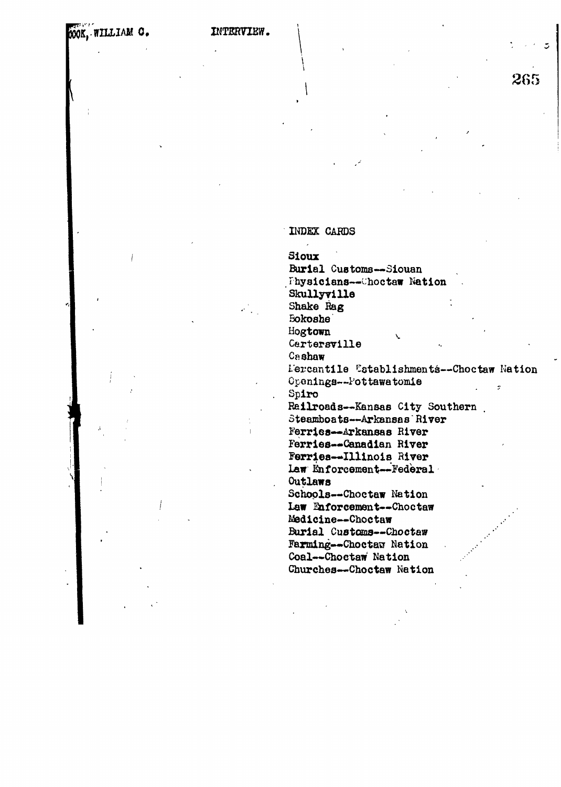INTERVIEW.

# INDEX CARDS

Sioux

Burial Customs-Siouan Fhysicians--Choctaw Nation

Skullyville

Shake Rag

**Bokoshe** 

Hogtown

Cartersville

Cashaw

L'ercantile Establishments--Choctaw Nation Openings--Pottawatomie  $\hat{\mathcal{I}}$ Spiro

265

Railroads--Kansas City Southern

Steamboats--Arkansas River

Ferries-Arkansas River Ferries--Canadian River Ferries--Illinois River

law Enforcement-Federal Outlaws

Schools--Choctaw Nation Law Enforcement--Choctaw Medicine--Choctaw Burial Customs--Choctaw Farming--Choctaw Nation Coal--Choctaw Nation Churches--Choctaw Nation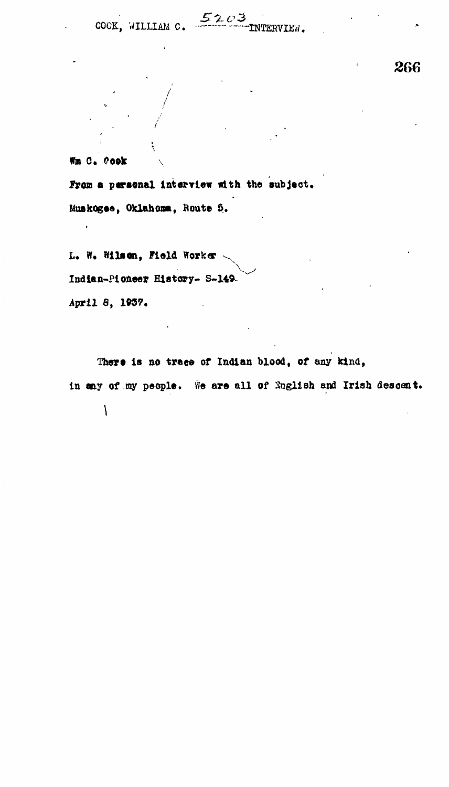COOK, WILLIAM C.

 $5203$  INTERVIEN.

266

Wm C. Cook

 $\ddot{\phantom{0}}$ 

From a personal interview with the subject.

Muskogee, Oklahoma, Route 5.

L. W. Wilson, Field Worker Indian-Pioneer History- S-149. April 8, 1937.

There is no trace of Indian blood, of any kind, in any of my people. We are all of English and Irish descent.  $\overline{1}$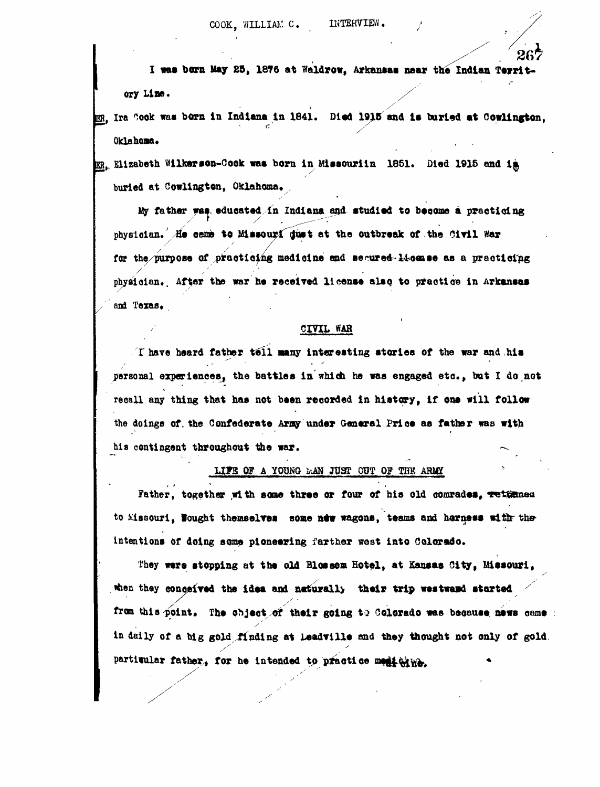I was born May 25, 1876 at Waldrow, Arkansas near the Indian Territ**ory Line.** */*

*,* **Ira ^ook was born In Indiana In 1841. Died 1918 and is buried at Oowllngton, Oklahoma.**

**m**<sub>.</sub> Elizabeth Wilkerson-Cook was born in Missouriin 1851. Died 1915 and im y **buried at Cowlington, Oklahoma.**

**My father was educated in Indiana and. studied to become a practicing** physician. He came to Missouri dust at the outbreak of the Civil War far the purpose of practicing medicine end secured-14-cease as a practicing physician. After the war he received license also to practice in Arkansas **phyaioian.. After the war he received license alao to practice in Arkansas**

## CIVIL WAR

**I have heard father tel l aany interesting stories of the war and,his personal experiences! the battles in which he waa engaged etc , bat I do not recall any thing that has not been recorded In history, If one will follow** the doings of the Confederate Army under General Price as father was with **the doings of. the Confederate Amy under General Price aa father was with** his contingent throughout the war. **his contingent throughout the war. -\*,**

## LIFE OF A YOUNG MAN JUST OUT OF THE ARMY

*UTS* **OF A YOUNG** *irJN* **JP3T OPT OF THK** Father, together with some three or four of his old comrades, returned to Missouri, **Nought themselves** some now wagons, teams and harness with the **intentions of doing some pioneering farther west into Colorado.**

**They were stopping at the old Blossom Hotel, at Kansas City, Missouri, ifcen they conoeived the idea and naturall> their trip westwaid started from this point. The object of their going to Colorado wee beoauae news came** in daily of a big gold finding at Leadville and they thought not only of gold. partitular father, for he intended to practice medicine.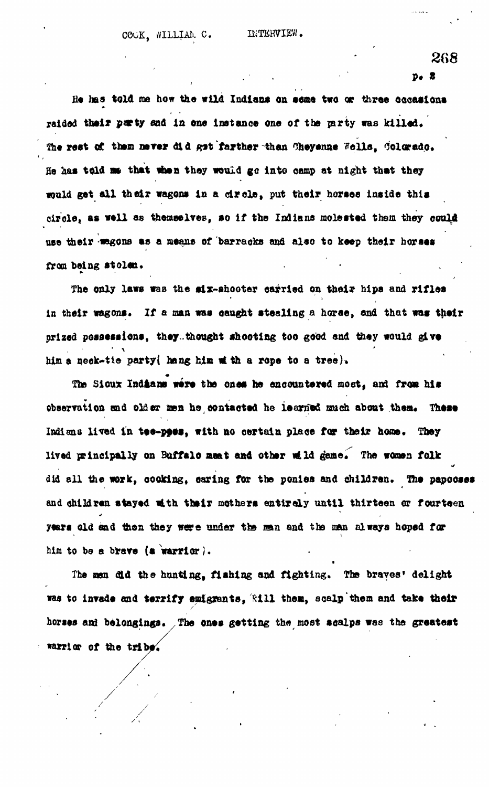*2G8*

**. • . • p # «**

He has told me how the wild Indians on some two or three occasions raided their purty and in one instance one of the party was killed. The rest of them never did get farther than Cheyenne Wells, Colorado. He has told me that when they would go into camp at night that they would get all their wagons in a circle, put their horses inside this **oixole, as well as themselves, so If the Indians molested them they oould use their wagons as a means of barracks and also to keep their horses** from being stolen.

The only laws was the six-shooter carried on their hips and rifles in their wagons. If a man was caught stealing a horse, and that was their **prized possessions, they.thought shooting too good and they would give** him a neek-tie party( hang him it th a rope to a tree).

The Sioux Indians were the ones he encountered most, and from his observation and older men he contacted he learned much about them. These **Indiana lived in tee-pfes, with no certain place for their hone. They** lived principally on Buffalo meat and other wild game. The women folk **did all the work, cooking, oaring for the ponies and children. Ifre papooses and children stayed with their mothers entirely until thirteen or fourteen** years old end then they were under the man and the man always hoped for **him to be a brave (a warrior}.**

The men did the hunting, fishing and fighting. The braves' delight was to invade and terrify emigrants, **Will them**, scalp them and take their horses and belongings. The ones getting the most acalps was the greatest warrior of the tribe.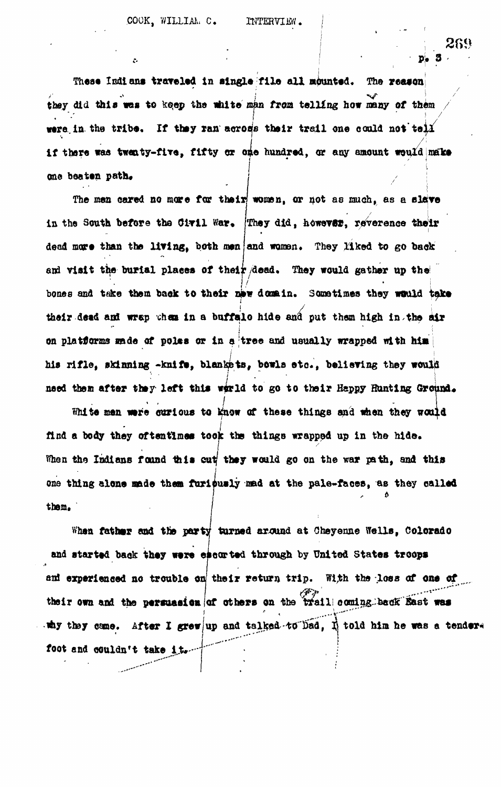COOK, WILLIAM C. INTERVIEW.

**These Indians traveled In single file all mounted. The reason** they did this was to keep the white man from telling how many of them **they did this wets to iceop the iwaito man** *from* **telling how roany of thorn** were in the tribe. If they ran across their trail one could not tell **if there was twenty-five, fifty or one hundred, or any amount would make** one beaten path.

The men cared no more for their women, or not as much, as a slave in the South before the Civil War. They did, however, reverence their **dead more than the llYlng, both men and women. They liked to go back** and visit the burial places of their dead. They would gather up the *If •* **i** bones and *twice* mem back to suate the *nome* in. Sometimes they would their back their dead and wrap when in a buffale hide and put them high in the air on platforms made of poles or in a tree and usually wrapped with him his rifle, skinning -knife, blankets, bowls etc., believing they would need them after they left this world to go to their Happy Hunting Ground. : • / ' / •

**need then after they left this w«ld to go to their Happy Hunting Ground\*** now ar these things and find a body they of tentimes took the things wrapped up in the hide. When the Indians found this cut they would go on the war path, and this one thing alone made them furiously mad at the pale-faces, as they called **one them,**  $\begin{pmatrix} 1 & 0 & 0 \\ 0 & 0 & 0 \\ 0 & 0 & 0 \\ 0 & 0 & 0 \\ 0 & 0 & 0 \\ 0 & 0 & 0 \\ 0 & 0 & 0 \\ 0 & 0 & 0 \\ 0 & 0 & 0 \\ 0 & 0 & 0 & 0 \\ 0 & 0 & 0 & 0 \\ 0 & 0 & 0 & 0 \\ 0 & 0 & 0 & 0 \\ 0 & 0 & 0 & 0 & 0 \\ 0 & 0 & 0 & 0 & 0 \\ 0 & 0 & 0 & 0 & 0 \\ 0 & 0 & 0 & 0 & 0 & 0 \\ 0 & 0 & 0 &$ 

and started back they were escorted through by United States troops and experienced no trouble on their return trip. With the loss of one of their own and the persuasien of others on the trail coming. back East was why they came. After I grew/up and talked • to Dad,  $\vec{R}$  told him he was a tender\* **W -** *<sup>i</sup>* **,** *^* **W** foot and couldn't take it.

289

**3**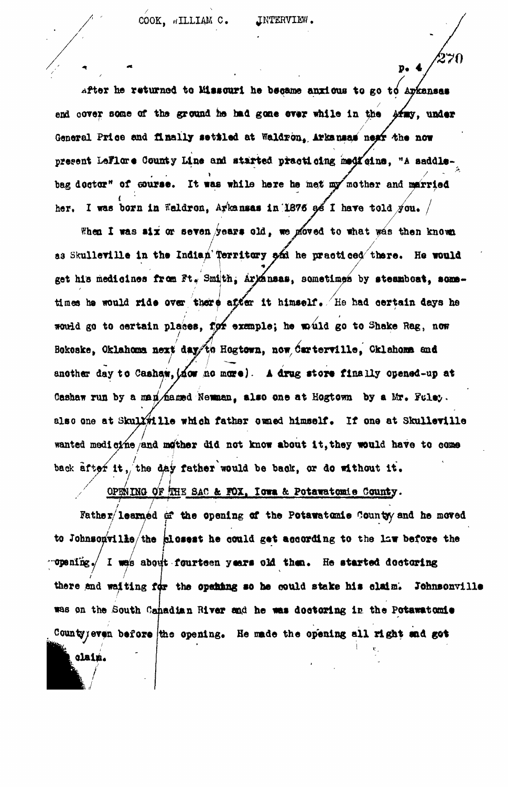COOK, WILLIAM C. JNTERVIEW.

270

 $p<sub>0</sub>$ 

**after he returned to Missouri he became anxious to go to Arkansas /** end cover some of the ground he had gone ever while in the Afmy, under General Price and finally settled at Waldron, Arkansas next the now present LeFlare County Line and started practicing medicine. "A saddlebag doctor" of course. It was while here he met my mother and married her, I was born in Weldron, Arkansas in 1876 as I have told  $y_{01}$ .

When I was six or seven years old, we ploved to what was then known as Skulleville in the Indian Territory and he practiced there. He would get his medicines from Ft. Smith, Arkansas, sometimes by steamboat, sometimes he would ride over there after it himself. He had certain days he would go to certain places, for example; he would go to Shake Rag, now Bokoske, Oklahoma next day/to Hogtown, now **darterville**, Cklahoma and another day to Cashaw, (now no more). A drug store finally opened-up at Cashaw run by a man hamed Newman, also one at Hogtown by a Mr. Fulsy. **Cashaw run by a nan/£aj»d Newaian, also one at Hogtown by a Mr.** also one at Skul*l#*ille which father owned himself. If one at Skulleville i wanted medicine and mother did not know about it, they would have to come back after it, the day father would be back, or do without it.<br> **///11/2012/2012/2012/2012/2013/2014** Texas & Determinate Soundary

OPENING OF HHE SAC & FOX. Iowa & Potawatomie County.

claim.

Father/learned of the opening of the Potawatamie Countyy and he moved /<sub>the</sub> *blosset* he / **to compositive/ and brances he controlled according to the right points the •opening./ I was about fourteen years old then\* He started doctoring / / I** there and waiting for the opening so he could stake his claim. Johnsonville **was on the South Canadian River and he was doctoring is the Potawatomie** County yeven before the opening. He made the opening all right and get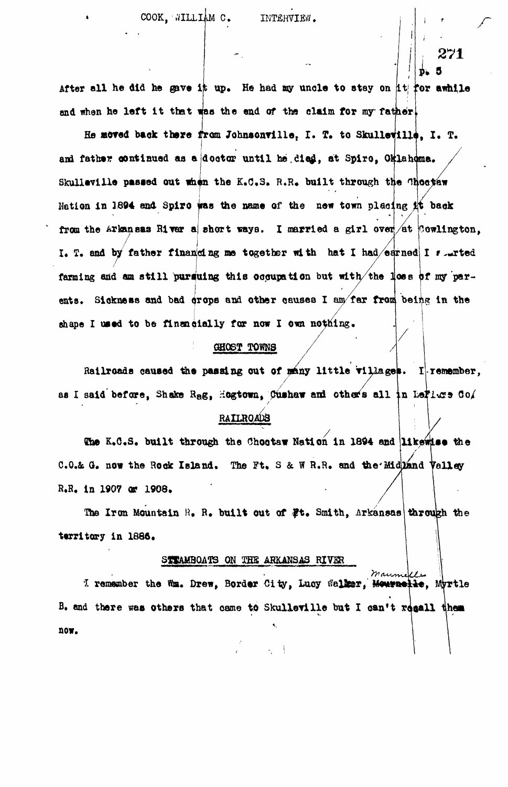271

After all he did he gave it up. He had my uncle to stay on it for awhile and when he left it that was the end of the claim for my father.

He moved back there from Johnsonville, I. T. to Skulleville, I. T. and father continued as a doctor until he died, at Spiro, Oklahoma. Skulleville passed out when the K.C.S. R.R. built through the Choctaw Nation in 1894 and Spire was the name of the new town placing it back from the Arkanaas River a short ways. I married a girl over  $/4t$  Cowlington, I. T. and by father financing me together with hat I had/edrned I surted farming and am still pursuing this occupation but with/the loss of my parents. Sickness and bad crops and other causes I am/far from being in the shape I used to be financially for now I own nothing.

#### GHOST TOWNS

Railroads caused the passing out of many little villages. I remember, as I said before, Shake Rag, Hogtown, Cushaw and others all in Leftlers  $G_0$ /

# **RAILROADS**

The K.C.S. built through the Choctaw Nation in 1894 and likewise the C.O.& G. now the Rock Island. The Ft. S & W R.R. and the Midzand Valley R.R. in 1907 or 1908.

The Iron Mountain R. R. built out of #t. Smith, Arkansas through the territory in 1886.

#### STTAMBOATS ON THE ARKANSAS RIVER

 $\n *ma*\n$ I remember the Wm. Drew, Border City, Lucy Walker, Monumette, Myrtle B. and there was others that came to Skulleville but I can't regall them now.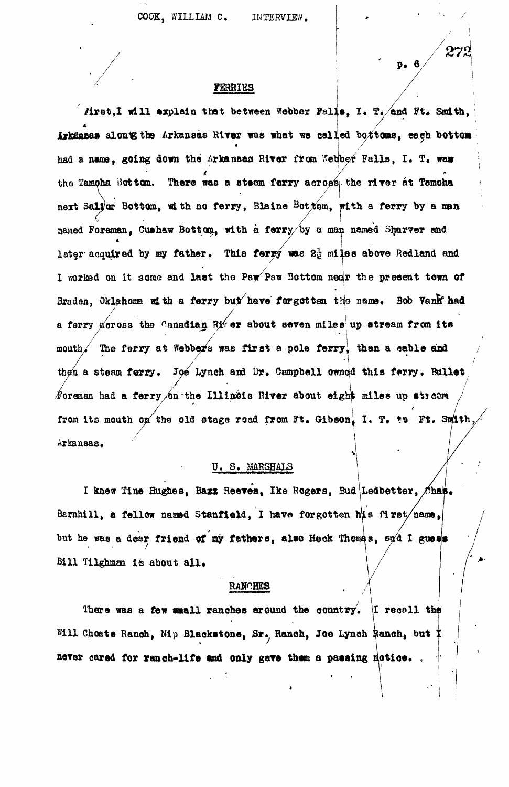**COOK, WILLIAM C. INTERVIEW.**

272

# **FERRIES**

**iirst,I will explain that between Webber Falls, I. T./and Ft. Smith, / alontgthe Arkansas River was what we called bostons, each bottom had a nans, going down the Arkansas River from Webber Falls, I. T. wa» the Tamoha Bottom. There was a steam ferry across the rlrer at Tamoha next Salvor Bottom, with no ferry, Blalne Bottom, with a ferry by a nan named Foreman, Cuahaw Bottom., with a ferry/by a man named Sharver and** later acquired by my father. This ferry was 2<sup>1</sup> miles above Redland and **I worload on it some and last the Paw'Paw 3ottom near the present town of** Braden, Oklahoma with a ferry but have forgotten the name. Bob Vanfr had **a ferry across the Canadian River about seven miles!up stream from Its mouth/ The ferry at Webbers was first a pole ferry than a sable and / then a steam** *terry. JOB* **Lynch and Dr, Oempbell owned this fwry. Ballet** *f* oreman had a ferry on the Illinois River about eight miles up stream from its mouth on the old stage road from Ft. Gibson, I. T. to Ft. **Arkansas\***

# **U . S . MARSHALS**

I knew Tine Hughes, Bazz Reeves, Ike Rogers, Bud Ledbetter, Chap. **Barnhill, a fellow named Stanfield, I have forgotten his first/name,** but he was a dear friend of my fathers, also Heck Thomas,  $\epsilon \chi$ d I guess Bill Tilghman is about all.

#### RANCHES

There was a few small ranches around the country. I recall the Will Choate Ranoh, Nip Blackstone, Sr., Ranoh, Joe Lynch Ranch, but <sup>†</sup> **never oared for ranch-life and only gave them a passing notice. ,**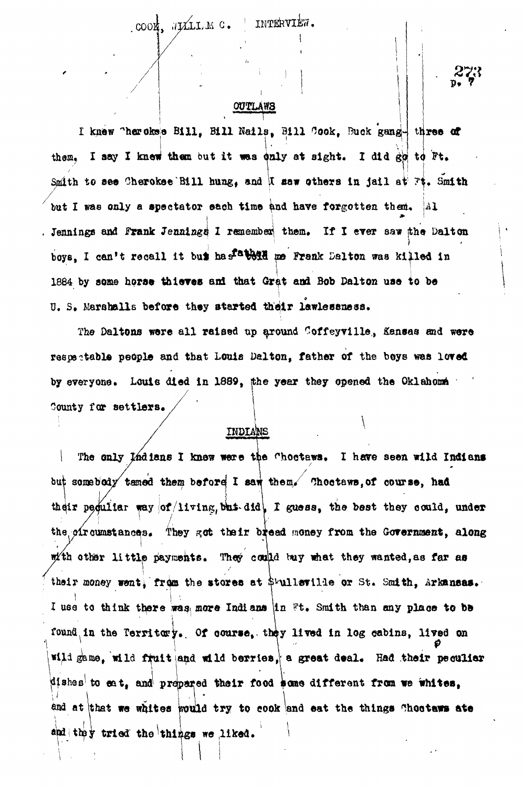#### **COOK,** *UTJLLIJM.* **C\*** INTERVIEW.

# **OUTLAWS**

I knew "herokee Bill, Bill Nails, Bill Cook, Buck gang- three of them. I say I knew them but it was duly at sight. I did go to Ft. Smith to see Cherokse Bill hung, and it saw others in jail at  $\mathbb{F}$ t. Smith but I was only a spectator sach time and have forgotten them. Al Jennings and Frank Jennings 1 remember them. If I ever saw the Dalton boys. I can't recall it but has a best me Frank Dalton was killed in  $\mathbf{F}$ **It am** *B***OD DAITON USS T** U. S. Marshalls before they started their lawlessmess.

The Daltons were all raised up around Coffeyville, Kansas and were respectable people and that Louis Dalton, father of the boys was loved by everyone. Louis died in 1889, the year they opened the Oklahoma County for settlers. **|**

# INDIANS

The only Indians I know were the Choctaws. I have seen wild Indians but somebody tamed them before I saw them, Choetews, of course, had their peoultar way  $|$ of/living, but-did<sup>l</sup>, *I* guess, the best they could, under the oir cumstances. They got their bread money from the Government, along with other little payments. They could buy what they wanted, as far as their money went, from the stores at  $\frac{1}{2}$  and  $\frac{1}{2}$  or St. Smith, Arkansas. I use to think there was more Indians in  $Ft$ . Smith than any place to be found, in the Territory. Of course, they lived in log cabins, lived on wild game, wild fruit and wild berries, a great deal. Had their peculiar me, wild fruit and wild fruit and wild berries,  $\frac{1}{2}$  Had the intervals of the intervals of the intervals of the intervals of the intervals of the intervals of the intervals of the intervals of the intervals of the int dishes to eat, and prepared their food some different from we whites,  $\uparrow$   $\uparrow$   $\uparrow$   $\uparrow$   $\uparrow$   $\uparrow$   $\uparrow$   $\uparrow$   $\uparrow$   $\uparrow$   $\uparrow$   $\uparrow$   $\uparrow$   $\uparrow$   $\uparrow$   $\uparrow$   $\uparrow$   $\uparrow$   $\uparrow$   $\uparrow$   $\uparrow$   $\uparrow$   $\uparrow$   $\uparrow$   $\uparrow$   $\uparrow$   $\uparrow$   $\uparrow$   $\uparrow$   $\uparrow$   $\uparrow$   $\uparrow$   $\uparrow$   $\uparrow$   $\uparrow$   $\uparrow$   $\uparrow$ at the whites we want the the there are the things of the things  $\frac{1}{2}$ and they tried the things we liked.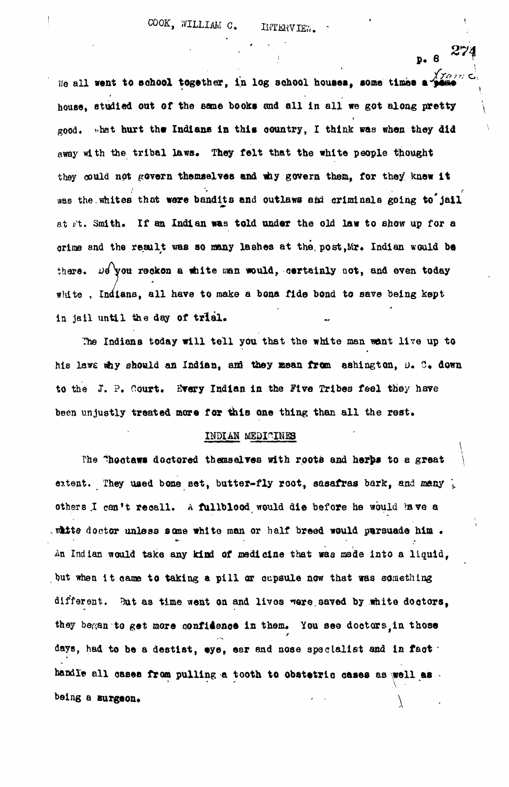$P. 8 274$ We all went to school together, in log school houses, some times a house, studied out of the same books and all in all we got along pretty  $_{200d}$ , what hurt the Indians in this country. I think was when they did away with the tribal laws. They felt that the white people thought they could not govern themselves and why govern them, for they knew it was the whites that were bandits and outlaws and criminals going to jail at it. Smith. If an Indian was told under the old law to show up for a crime and the result was so many lashes at the, post,Mr. Indian would be there. Do you reckon a white man would, cortainly not, and even today white . Indians, all have to make a bona fide bond to save being kept in jail until the day of trial.

The Indians today will tell you that the white man want live up to his lawe why should an Indian, and they mean from ashington,  $D_0$ . C. down to the J. ?, Court. Every Indian in the Five Tribes feel they hare been unjustly treated more for this one thing than all the rest.

#### INDIAN MEDICINES

The "hootaws doctored themselves with roots and herps to a great extent. They used bone set, butter-fly root, sasafras bark, and many  $\frac{1}{2}$ others I can't recall. A fullblood would die before he would have a white doctor unless same white man or half breed would parsuade him. An Indian would take any kind of medicine that was made into a liquid, but when it came to taking a pill or cupsule now that was something different. But as time went on and lives were saved by white doctors, they began to get more confidence in them. You see doctors in those days, had to be a destist, eye, ear and nose specialist and in fact  $\cdot$ handle all cases from pulling a tooth to obstetric cases as well as  $\cdot$ being a surgeon.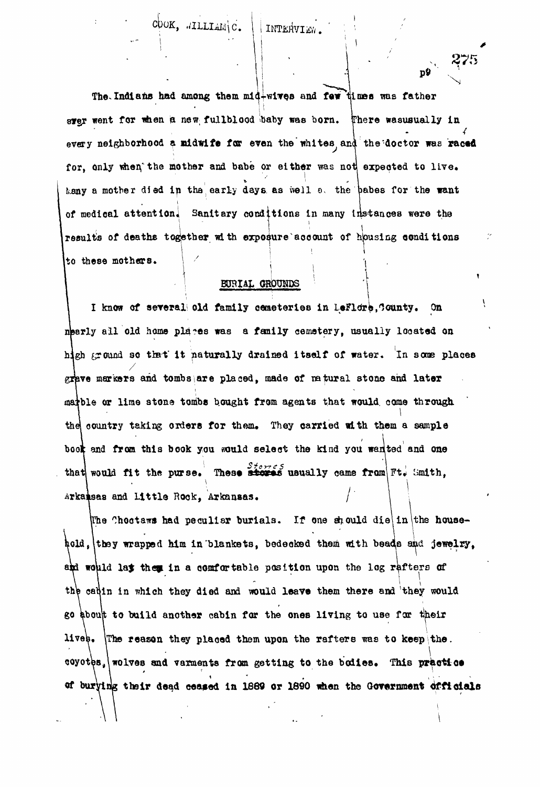The Indians had among them  $m1d + w1w$ qB and few times was father syer went for when a new fullblood baby was born. There wasusually in every neighborhood a midwife for even the whites and the doctor was raced for, only when the mother and babe or either was not expected to live. hany a mother died in the early days, as well o. the babes for the want of medical attention. Sanitary conditions in many instances were the results of deaths together with exposure account of housing conditions to these mothers.

COOK, .ALLIAM\C. | | INTERVIEW.

# BOBIAL OHOUHDS

I know of several old family cemeteries in LeFlore, Gounty. On nearly all old home places was a family cemetery, usually located on high ground so that it naturally drained itself of water. In some places hj $\mathcal{L}$  is naturally drained itself of water. In some places itself of water. In some places itself of water. In some places it is not water. In some places it is not water. In some places it is not water. In some plac markers and tombs are placed, made of natural stone and later a or lime stone to the stone tomba bound, comparison to that would, come that would, come that would, come through the country taking orders for the mass  $\sigma$  them. They can reflect with the mass  $\sigma$  samples  $\sigma$ and from this book you would select the kind you wanted and one that would fit the purse. These  $\frac{1}{\sqrt{2}}$  usually came from  $\boxed{Ft}$ . Smith, arkaisas and Little Rook, Arkansas.

The Choctaws had peculiar burials. If one should die in the household, they wrapped him in blankets, bedecked them with beads and jewelry, and would lay them in a comfortable position upon the log rafters of **i** *\* the cadin in which they died and would leave them there and they would go about to build another cabin for the ones living to use for their lives. The reason they placed them upon the rafters was to keep the. coyotes, wolves and varments from getting to the bodies. This practice of burying their dead ceased in 1889 or 1890 when the Government officials

of buryirig their dead cea«» or  $\mathcal{L}_{\mathcal{A}}$  in 1869 when the Government of  $\mathcal{L}_{\mathcal{A}}$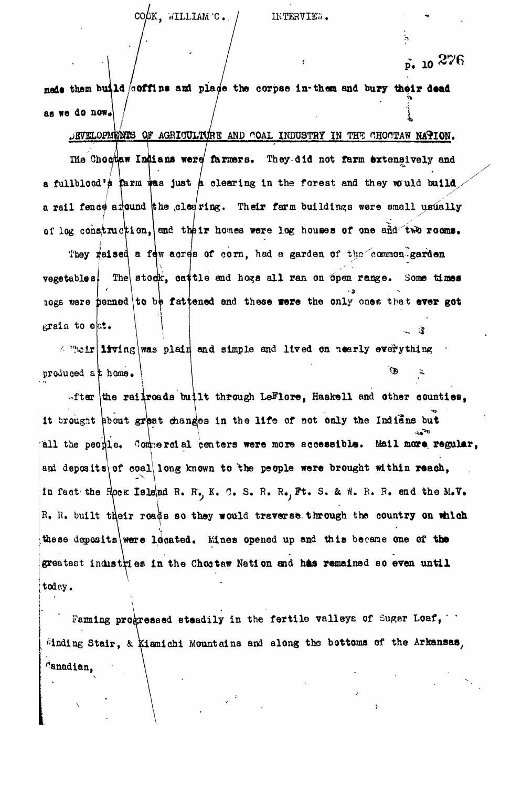$\tilde{p}$ . 10  $276$ 

made them build  $\sim$  coffins and place the corpse in-them and bury their dead as we do now«

AGRIOPMENTS OF AGRIOULTURE AND COAL INDUSTRY IN THE CHOCTAW NATION. The Chociaw Indians were farmers. They did not farm extensively and a fullblood's tarm was just a clearing in the forest and they would build a rail fence afound the clearing. Their farm buildings were small usually of log construction, and their homes were log houses of one and two rooms.

They reised a few acres of corn, had a garden of the common garden vegetables. The stock, cattle and hogs all ran on open range. Some times  $_{10}$ gs were penned to be fattened and these were the only ones that ever got grain to eat. **, i**

 $\land$  "heir living was plain and simple and lived on nearly everything produced at home.

 $_{\text{in}}$  the railroads built through LeFlore. Haakell and other counties, <sup>19</sup> it orders booms great changes in the rire of not only the Instance on rail the people. 0om;:ercial centers were more accessible. Mail more regular, and deposits of coal long known to the people were brought within reach, in fact-the Hook Island R.  $R_{\bullet}$ , K. C. S. R.  $R_{\bullet}$ , Ft. S. & W. R. R. and the M.V. R. R. built their roads so they would traverse through the country on which these deposits were located. Mines opened up and this became one of the greatest industries in the Chootaw Nation and has remained so even until today.

Faming progressed steadily in the fertile valleys of Sugar Loaf,  $\cdot$ binding Stair, & kiamichi Mountains and along the bottoms of the Arkansas, Canadian,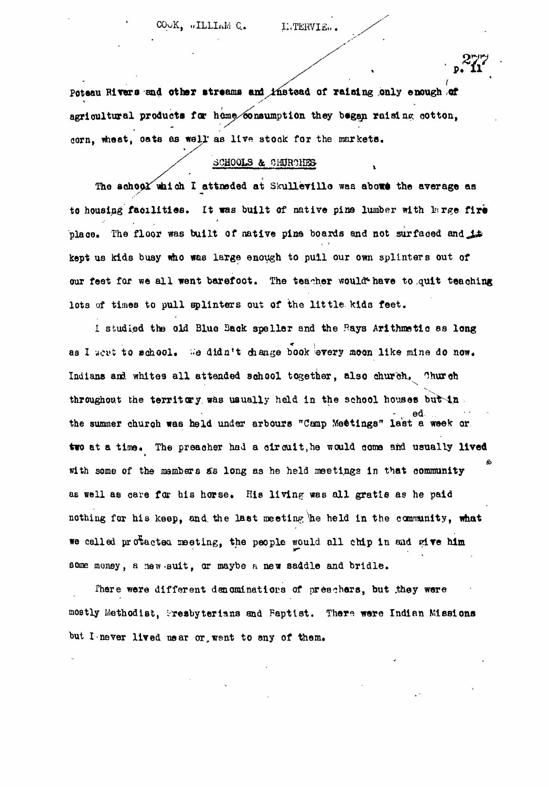Poteau Rivers and other streams and instead of raising only enough of agricultural products for home/consumption they began raising cotton, corn, wheat, oats as well as live stock for the markets.

#### SCHOOLS & CHURCHES

The school which I attneded at Skulleville was about the average as to housing facilities. It was built of native pine lumber with large fire place. The floor was built of native pine boards and not surfaced and  $\pm$ kept us kids busy who was large enough to pull our own splinters out of our feet for we all went barefoot. The teacher would have to quit teaching lots of times to pull splinters out of the little kids feet.

I studied the old Blue Back speller and the Rays Arithmetic as long as I wert to school. We didn't change book every moon like mine do now. Indians and whites all attended school together, also church, Church throughout the territory was usually held in the school houses but in - v ed the summer churoh was held under arbours "Camp Meetings" last a week or two at a time. The preacher had a circuit, he would come and usually lived with some of the sambers *&s* long as he held meetings in that community as well as care for his horse. His living was all gratis as he paid nothing for his keep, and. the laet meeting \he held in the community, what we called protactea meeting, the people would all chip in and give him some money, a new-suit, or maybe a new saddle and bridle.

There were different denominations of preachers, but they were mostly Methodist, Presbyterians and Paptist. There were Indian Missions but I-never lived near or, went to any of them.